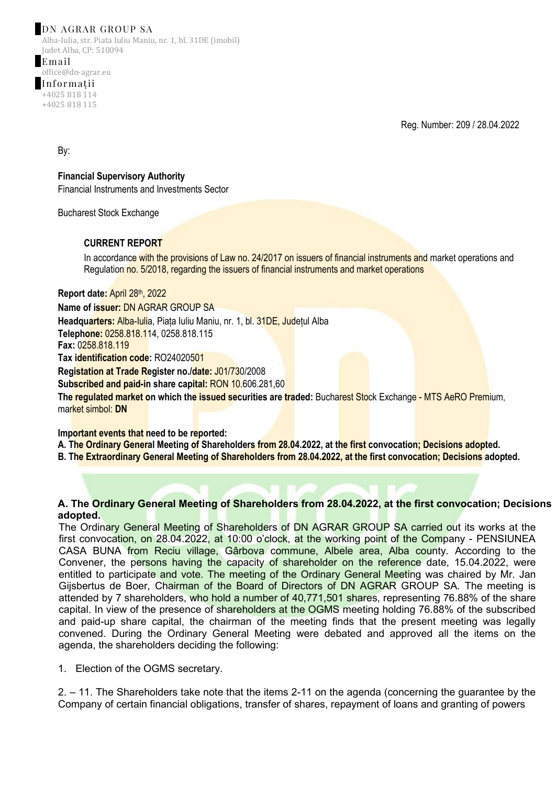## DN AGRAR GROUP SA

Alba-Iulia, str. Piata Iuliu Maniu, nr. 1, bl. 31DE (imobil) Judet Alba, CP: 510094

Email office@dn-agrar.eu Informații +4025 818 114 +4025 818 115

Reg. Number: 209 / 28.04.2022

By:

**Financial Supervisory Authority** Financial Instruments and Investments Sector

Bucharest Stock Exchange

### **CURRENT REPORT**

In accordance with the provisions of Law no. 24/2017 on issuers of financial instruments and market operations and Regulation no. 5/2018, regarding the issuers of financial instruments and market operations

**Report date:** April 28th, 2022 **Name of issuer:** DN AGRAR GROUP SA **Headquarters:** Alba-Iulia, Piața Iuliu Maniu, nr. 1, bl. 31DE, Județul Alba **Telephone:** 0258.818.114, 0258.818.115 **Fax:** 0258.818.119 **Tax identification code:** RO24020501 **Registation at Trade Register no./date:** J01/730/2008 **Subscribed and paid-in share capital:** RON 10.606.281,60 **The regulated market on which the issued securities are traded:** Bucharest Stock Exchange - MTS AeRO Premium, market simbol: **DN**

**Important events that need to be reported:**

**A. The Ordinary General Meeting of Shareholders from 28.04.2022, at the first convocation; Decisions adopted.**

**B. The Extraordinary General Meeting of Shareholders from 28.04.2022, at the first convocation; Decisions adopted.**

#### **A. The Ordinary General Meeting of Shareholders from 28.04.2022, at the first convocation; Decisions adopted.**

The Ordinary General Meeting of Shareholders of DN AGRAR GROUP SA carried out its works at the first convocation, on 28.04.2022, at 10:00 o'clock, at the working point of the Company - PENSIUNEA CASA BUNA from Reciu village, Gârbova commune, Albele area, Alba county. According to the Convener, the persons having the capacity of shareholder on the reference date, 15.04.2022, were entitled to participate and vote. The meeting of the Ordinary General Meeting was chaired by Mr. Jan Gijsbertus de Boer, Chairman of the Board of Directors of DN AGRAR GROUP SA. The meeting is attended by 7 shareholders, who hold a number of 40,771,501 shares, representing 76.88% of the share capital. In view of the presence of shareholders at the OGMS meeting holding 76.88% of the subscribed and paid-up share capital, the chairman of the meeting finds that the present meeting was legally convened. During the Ordinary General Meeting were debated and approved all the items on the agenda, the shareholders deciding the following:

1. Election of the OGMS secretary.

2. – 11. The Shareholders take note that the items 2-11 on the agenda (concerning the guarantee by the Company of certain financial obligations, transfer of shares, repayment of loans and granting of powers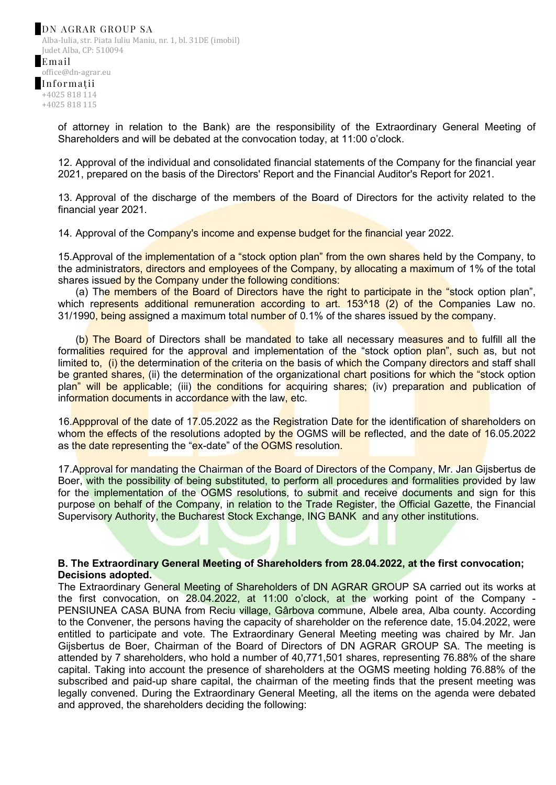Alba-Iulia, str. Piata Iuliu Maniu, nr. 1, bl. 31DE (imobil) Judet Alba, CP: 510094 Email office@dn-agrar.eu

Informații +4025 818 114 +4025 818 115

> of attorney in relation to the Bank) are the responsibility of the Extraordinary General Meeting of Shareholders and will be debated at the convocation today, at 11:00 o'clock.

> 12. Approval of the individual and consolidated financial statements of the Company for the financial year 2021, prepared on the basis of the Directors' Report and the Financial Auditor's Report for 2021.

> 13. Approval of the discharge of the members of the Board of Directors for the activity related to the financial year 2021.

14. Approval of the Company's income and expense budget for the financial year 2022.

15. Approval of the implementation of a "stock option plan" from the own shares held by the Company, to the administrators, directors and employees of the Company, by allocating a maximum of 1% of the total shares issued by the Company under the following conditions:

(a) The members of the Board of Directors have the right to participate in the "stock option plan", which represents additional remuneration according to art. 153^18 (2) of the Companies Law no. 31/1990, being assigned a maximum total number of 0.1% of the shares issued by the company.

(b) The Board of Directors shall be mandated to take all necessary measures and to fulfill all the formalities required for the approval and implementation of the "stock option plan", such as, but not limited to. (i) the determination of the criteria on the basis of which the Company directors and staff shall be granted shares, (ii) the determination of the organizational chart positions for which the "stock option plan" will be applicable; (iii) the conditions for acquiring shares; (iv) preparation and publication of information documents in accordance with the law, etc.

16. Appproval of the date of 17.05.2022 as the Registration Date for the identification of shareholders on whom the effects of the resolutions adopted by the OGMS will be reflected, and the date of 16.05.2022 as the date representing the "ex-date" of the OGMS resolution.

17.Approval for mandating the Chairman of the Board of Directors of the Company, Mr. Jan Gijsbertus de Boer, with the possibility of being substituted, to perform all procedures and formalities provided by law for the implementation of the OGMS resolutions, to submit and receive documents and sign for this purpose on behalf of the Company, in relation to the Trade Register, the Official Gazette, the Financial Supervisory Authority, the Bucharest Stock Exchange, ING BANK and any other institutions.

#### **B. The Extraordinary General Meeting of Shareholders from 28.04.2022, at the first convocation; Decisions adopted.**

The Extraordinary General Meeting of Shareholders of DN AGRAR GROUP SA carried out its works at the first convocation, on 28.04.2022, at 11:00 o'clock, at the working point of the Company - PENSIUNEA CASA BUNA from Reciu village, Gârbova commune, Albele area, Alba county. According to the Convener, the persons having the capacity of shareholder on the reference date, 15.04.2022, were entitled to participate and vote. The Extraordinary General Meeting meeting was chaired by Mr. Jan Gijsbertus de Boer, Chairman of the Board of Directors of DN AGRAR GROUP SA. The meeting is attended by 7 shareholders, who hold a number of 40,771,501 shares, representing 76.88% of the share capital. Taking into account the presence of shareholders at the OGMS meeting holding 76.88% of the subscribed and paid-up share capital, the chairman of the meeting finds that the present meeting was legally convened. During the Extraordinary General Meeting, all the items on the agenda were debated and approved, the shareholders deciding the following: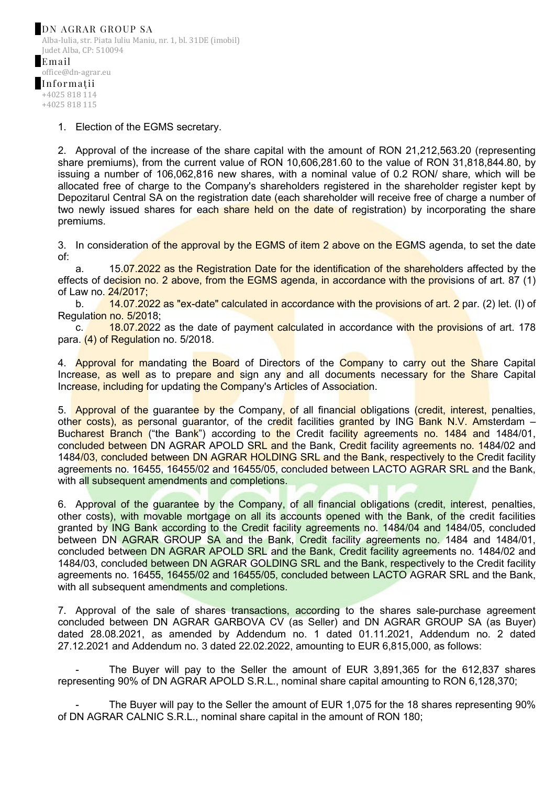#### 1. Election of the EGMS secretary.

2. Approval of the increase of the share capital with the amount of RON 21,212,563.20 (representing share premiums), from the current value of RON 10,606,281.60 to the value of RON 31,818,844.80, by issuing a number of 106,062,816 new shares, with a nominal value of 0.2 RON/ share, which will be allocated free of charge to the Company's shareholders registered in the shareholder register kept by Depozitarul Central SA on the registration date (each shareholder will receive free of charge a number of two newly issued shares for each share held on the date of registration) by incorporating the share premiums.

3. In consideration of the approval by the EGMS of item 2 above on the EGMS agenda, to set the date of:

15.07.2022 as the Registration Date for the identification of the shareholders affected by the effects of decision no. 2 above, from the EGMS agenda, in accordance with the provisions of art. 87 (1) of Law no. 24/2017;

b. 14.07.2022 as "ex-date" calculated in accordance with the provisions of art. 2 par. (2) let. (I) of Regulation no. 5/2018;

c. 18.07.2022 as the date of payment calculated in accordance with the provisions of art. 178 para. (4) of Regulation no. 5/2018.

4. Approval for mandating the Board of Directors of the Company to carry out the Share Capital Increase, as well as to prepare and sign any and all documents necessary for the Share Capital Increase, including for updating the Company's Articles of Association.

5. Approval of the guarantee by the Company, of all financial obligations (credit, interest, penalties, other costs), as personal guarantor, of the credit facilities granted by ING Bank N.V. Amsterdam -Bucharest Branch ("the Bank") according to the Credit facility agreements no. 1484 and 1484/01, concluded between DN AGRAR APOLD SRL and the Bank, Credit facility agreements no. 1484/02 and 1484/03, concluded between DN AGRAR HOLDING SRL and the Bank, respectively to the Credit facility agreements no. 16455, 16455/02 and 16455/05, concluded between LACTO AGRAR SRL and the Bank, with all subsequent amendments and completions.

6. Approval of the guarantee by the Company, of all financial obligations (credit, interest, penalties, other costs), with movable mortgage on all its accounts opened with the Bank, of the credit facilities granted by ING Bank according to the Credit facility agreements no. 1484/04 and 1484/05, concluded between DN AGRAR GROUP SA and the Bank, Credit facility agreements no. 1484 and 1484/01, concluded between DN AGRAR APOLD SRL and the Bank, Credit facility agreements no. 1484/02 and 1484/03, concluded between DN AGRAR GOLDING SRL and the Bank, respectively to the Credit facility agreements no. 16455, 16455/02 and 16455/05, concluded between LACTO AGRAR SRL and the Bank, with all subsequent amendments and completions.

7. Approval of the sale of shares transactions, according to the shares sale-purchase agreement concluded between DN AGRAR GARBOVA CV (as Seller) and DN AGRAR GROUP SA (as Buyer) dated 28.08.2021, as amended by Addendum no. 1 dated 01.11.2021, Addendum no. 2 dated 27.12.2021 and Addendum no. 3 dated 22.02.2022, amounting to EUR 6,815,000, as follows:

The Buyer will pay to the Seller the amount of EUR 3,891,365 for the 612,837 shares representing 90% of DN AGRAR APOLD S.R.L., nominal share capital amounting to RON 6,128,370;

The Buyer will pay to the Seller the amount of EUR 1,075 for the 18 shares representing 90% of DN AGRAR CALNIC S.R.L., nominal share capital in the amount of RON 180;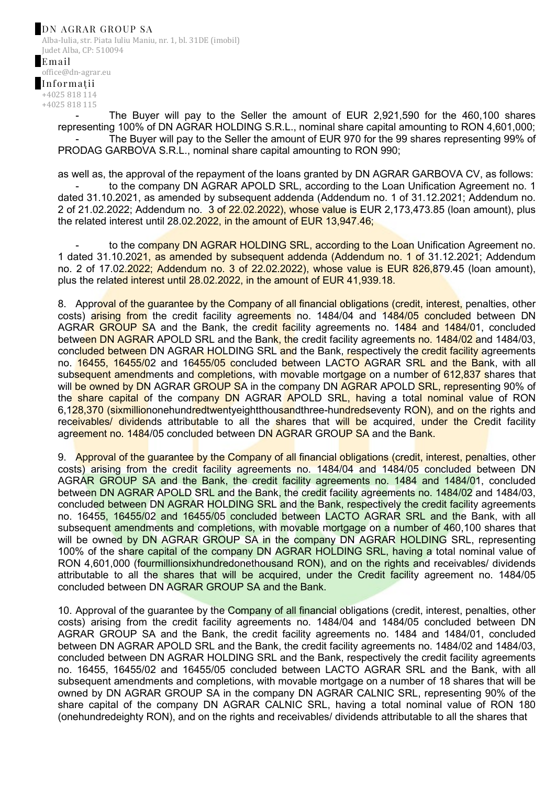## DN AGRAR GROUP SA

Alba-Iulia, str. Piata Iuliu Maniu, nr. 1, bl. 31DE (imobil) Judet Alba, CP: 510094

Email office@dn-agrar.eu Informații +4025 818 114 +4025 818 115

> The Buyer will pay to the Seller the amount of EUR  $2,921,590$  for the  $460,100$  shares representing 100% of DN AGRAR HOLDING S.R.L., nominal share capital amounting to RON 4,601,000; The Buyer will pay to the Seller the amount of EUR 970 for the 99 shares representing 99% of PRODAG GARBOVA S.R.L., nominal share capital amounting to RON 990;

> as well as, the approval of the repayment of the loans granted by DN AGRAR GARBOVA CV, as follows: to the company DN AGRAR APOLD SRL, according to the Loan Unification Agreement no. 1 dated 31.10.2021, as amended by subsequent addenda (Addendum no. 1 of 31.12.2021; Addendum no. 2 of 21.02.2022; Addendum no. 3 of 22.02.2022), whose value is EUR 2,173,473.85 (loan amount), plus the related interest until 28.02.2022, in the amount of EUR 13,947.46;

> to the company DN AGRAR HOLDING SRL, according to the Loan Unification Agreement no. 1 dated 31.10.2021, as amended by subsequent addenda (Addendum no. 1 of 31.12.2021; Addendum no. 2 of 17.02.2022; Addendum no. 3 of 22.02.2022), whose value is EUR 826,879.45 (loan amount), plus the related interest until 28.02.2022, in the amount of EUR 41,939.18.

> 8. Approval of the guarantee by the Company of all financial obligations (credit, interest, penalties, other costs) arising from the credit facility agreements no. 1484/04 and 1484/05 concluded between DN AGRAR GROUP SA and the Bank, the credit facility agreements no. 1484 and 1484/01, concluded between DN AGRAR APOLD SRL and the Bank, the credit facility agreements no. 1484/02 and 1484/03, concluded between DN AGRAR HOLDING SRL and the Bank, respectively the credit facility agreements no. 16455, 16455/02 and 16455/05 concluded between LACTO AGRAR SRL and the Bank, with all subsequent amendments and completions, with movable mortgage on a number of 612,837 shares that will be owned by DN AGRAR GROUP SA in the company DN AGRAR APOLD SRL, representing 90% of the share capital of the company DN AGRAR APOLD SRL, having a total nominal value of RON 6,128,370 (sixmilliononehundredtwentyeightthousandthree-hundredseventy RON), and on the rights and receivables/ dividends attributable to all the shares that will be acquired, under the Credit facility agreement no. 1484/05 concluded between DN AGRAR GROUP SA and the Bank.

> 9. Approval of the guarantee by the Company of all financial obligations (credit, interest, penalties, other costs) arising from the credit facility agreements no. 1484/04 and 1484/05 concluded between DN AGRAR GROUP SA and the Bank, the credit facility agreements no. 1484 and 1484/01, concluded between DN AGRAR APOLD SRL and the Bank, the credit facility agreements no. 1484/02 and 1484/03, concluded between DN AGRAR HOLDING SRL and the Bank, respectively the credit facility agreements no. 16455, 16455/02 and 16455/05 concluded between LACTO AGRAR SRL and the Bank, with all subsequent amendments and completions, with movable mortgage on a number of 460,100 shares that will be owned by DN AGRAR GROUP SA in the company DN AGRAR HOLDING SRL, representing 100% of the share capital of the company DN AGRAR HOLDING SRL, having a total nominal value of RON 4,601,000 (fourmillionsixhundredonethousand RON), and on the rights and receivables/ dividends attributable to all the shares that will be acquired, under the Credit facility agreement no. 1484/05 concluded between DN AGRAR GROUP SA and the Bank.

> 10. Approval of the guarantee by the Company of all financial obligations (credit, interest, penalties, other costs) arising from the credit facility agreements no. 1484/04 and 1484/05 concluded between DN AGRAR GROUP SA and the Bank, the credit facility agreements no. 1484 and 1484/01, concluded between DN AGRAR APOLD SRL and the Bank, the credit facility agreements no. 1484/02 and 1484/03, concluded between DN AGRAR HOLDING SRL and the Bank, respectively the credit facility agreements no. 16455, 16455/02 and 16455/05 concluded between LACTO AGRAR SRL and the Bank, with all subsequent amendments and completions, with movable mortgage on a number of 18 shares that will be owned by DN AGRAR GROUP SA in the company DN AGRAR CALNIC SRL, representing 90% of the share capital of the company DN AGRAR CALNIC SRL, having a total nominal value of RON 180 (onehundredeighty RON), and on the rights and receivables/ dividends attributable to all the shares that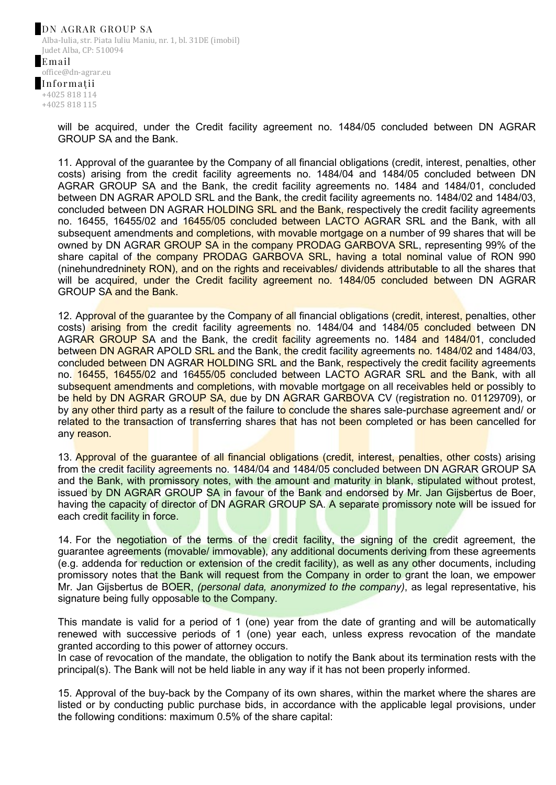will be acquired, under the Credit facility agreement no. 1484/05 concluded between DN AGRAR GROUP SA and the Bank.

11. Approval of the guarantee by the Company of all financial obligations (credit, interest, penalties, other costs) arising from the credit facility agreements no. 1484/04 and 1484/05 concluded between DN AGRAR GROUP SA and the Bank, the credit facility agreements no. 1484 and 1484/01, concluded between DN AGRAR APOLD SRL and the Bank, the credit facility agreements no. 1484/02 and 1484/03, concluded between DN AGRAR HOLDING SRL and the Bank, respectively the credit facility agreements no. 16455, 16455/02 and 16455/05 concluded between LACTO AGRAR SRL and the Bank, with all subsequent amendments and completions, with movable mortgage on a number of 99 shares that will be owned by DN AGRAR GROUP SA in the company PRODAG GARBOVA SRL, representing 99% of the share capital of the company PRODAG GARBOVA SRL, having a total nominal value of RON 990 (ninehundredninety RON), and on the rights and receivables/ dividends attributable to all the shares that will be acquired, under the Credit facility agreement no. 1484/05 concluded between DN AGRAR GROUP SA and the Bank.

12. Approval of the guarantee by the Company of all financial obligations (credit, interest, penalties, other costs) arising from the credit facility agreements no. 1484/04 and 1484/05 concluded between DN AGRAR GROUP SA and the Bank, the credit facility agreements no. 1484 and 1484/01, concluded between DN AGRAR APOLD SRL and the Bank, the credit facility agreements no. 1484/02 and 1484/03, concluded between DN AGRAR HOLDING SRL and the Bank, respectively the credit facility agreements no. 16455, 16455/02 and 16455/05 concluded between LACTO AGRAR SRL and the Bank, with all subsequent amendments and completions, with movable mortgage on all receivables held or possibly to be held by DN AGRAR GROUP SA, due by DN AGRAR GARBOVA CV (registration no. 01129709), or by any other third party as a result of the failure to conclude the shares sale-purchase agreement and/ or related to the transaction of transferring shares that has not been completed or has been cancelled for any reason.

13. Approval of the guarantee of all financial obligations (credit, interest, penalties, other costs) arising from the credit facility agreements no. 1484/04 and 1484/05 concluded between DN AGRAR GROUP SA and the Bank, with promissory notes, with the amount and maturity in blank, stipulated without protest, issued by DN AGRAR GROUP SA in favour of the Bank and endorsed by Mr. Jan Gijsbertus de Boer, having the capacity of director of DN AGRAR GROUP SA. A separate promissory note will be issued for each credit facility in force.

14. For the negotiation of the terms of the credit facility, the signing of the credit agreement, the guarantee agreements (movable/ immovable), any additional documents deriving from these agreements (e.g. addenda for reduction or extension of the credit facility), as well as any other documents, including promissory notes that the Bank will request from the Company in order to grant the loan, we empower Mr. Jan Gijsbertus de BOER, *(personal data, anonymized to the company)*, as legal representative, his signature being fully opposable to the Company.

This mandate is valid for a period of 1 (one) year from the date of granting and will be automatically renewed with successive periods of 1 (one) year each, unless express revocation of the mandate granted according to this power of attorney occurs.

In case of revocation of the mandate, the obligation to notify the Bank about its termination rests with the principal(s). The Bank will not be held liable in any way if it has not been properly informed.

15. Approval of the buy-back by the Company of its own shares, within the market where the shares are listed or by conducting public purchase bids, in accordance with the applicable legal provisions, under the following conditions: maximum 0.5% of the share capital: